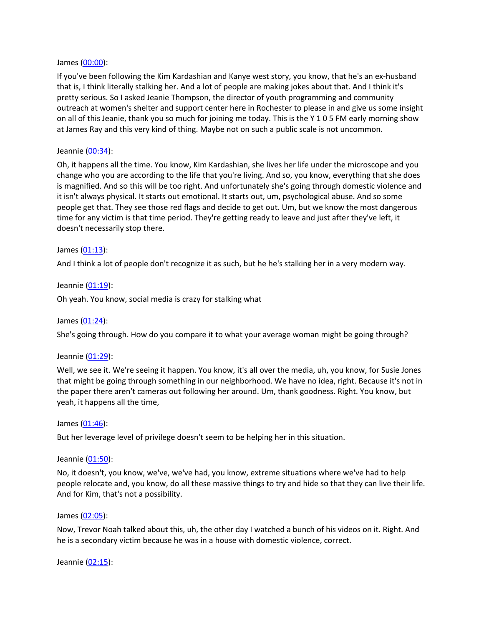## James [\(00:00](https://www.temi.com/editor/t/fs9WHJxm94fSDDQqMDNgjzmnZD9xcKu1BiZekgKpOd8-mHJKo-GRZtAnvvb3ADFQKAnxTkCBiHNPCt811R79nR_NmXA?loadFrom=DocumentDeeplink&ts=0.02)):

If you've been following the Kim Kardashian and Kanye west story, you know, that he's an ex-husband that is, I think literally stalking her. And a lot of people are making jokes about that. And I think it's pretty serious. So I asked Jeanie Thompson, the director of youth programming and community outreach at women's shelter and support center here in Rochester to please in and give us some insight on all of this Jeanie, thank you so much for joining me today. This is the Y 1 0 5 FM early morning show at James Ray and this very kind of thing. Maybe not on such a public scale is not uncommon.

# Jeannie ([00:34\)](https://www.temi.com/editor/t/fs9WHJxm94fSDDQqMDNgjzmnZD9xcKu1BiZekgKpOd8-mHJKo-GRZtAnvvb3ADFQKAnxTkCBiHNPCt811R79nR_NmXA?loadFrom=DocumentDeeplink&ts=34.01):

Oh, it happens all the time. You know, Kim Kardashian, she lives her life under the microscope and you change who you are according to the life that you're living. And so, you know, everything that she does is magnified. And so this will be too right. And unfortunately she's going through domestic violence and it isn't always physical. It starts out emotional. It starts out, um, psychological abuse. And so some people get that. They see those red flags and decide to get out. Um, but we know the most dangerous time for any victim is that time period. They're getting ready to leave and just after they've left, it doesn't necessarily stop there.

## James [\(01:13](https://www.temi.com/editor/t/fs9WHJxm94fSDDQqMDNgjzmnZD9xcKu1BiZekgKpOd8-mHJKo-GRZtAnvvb3ADFQKAnxTkCBiHNPCt811R79nR_NmXA?loadFrom=DocumentDeeplink&ts=73.63)):

And I think a lot of people don't recognize it as such, but he he's stalking her in a very modern way.

Jeannie ([01:19\)](https://www.temi.com/editor/t/fs9WHJxm94fSDDQqMDNgjzmnZD9xcKu1BiZekgKpOd8-mHJKo-GRZtAnvvb3ADFQKAnxTkCBiHNPCt811R79nR_NmXA?loadFrom=DocumentDeeplink&ts=79.43):

Oh yeah. You know, social media is crazy for stalking what

James [\(01:24](https://www.temi.com/editor/t/fs9WHJxm94fSDDQqMDNgjzmnZD9xcKu1BiZekgKpOd8-mHJKo-GRZtAnvvb3ADFQKAnxTkCBiHNPCt811R79nR_NmXA?loadFrom=DocumentDeeplink&ts=84.12)):

She's going through. How do you compare it to what your average woman might be going through?

Jeannie ([01:29\)](https://www.temi.com/editor/t/fs9WHJxm94fSDDQqMDNgjzmnZD9xcKu1BiZekgKpOd8-mHJKo-GRZtAnvvb3ADFQKAnxTkCBiHNPCt811R79nR_NmXA?loadFrom=DocumentDeeplink&ts=89.35):

Well, we see it. We're seeing it happen. You know, it's all over the media, uh, you know, for Susie Jones that might be going through something in our neighborhood. We have no idea, right. Because it's not in the paper there aren't cameras out following her around. Um, thank goodness. Right. You know, but yeah, it happens all the time,

James [\(01:46](https://www.temi.com/editor/t/fs9WHJxm94fSDDQqMDNgjzmnZD9xcKu1BiZekgKpOd8-mHJKo-GRZtAnvvb3ADFQKAnxTkCBiHNPCt811R79nR_NmXA?loadFrom=DocumentDeeplink&ts=106.05)):

But her leverage level of privilege doesn't seem to be helping her in this situation.

Jeannie ([01:50\)](https://www.temi.com/editor/t/fs9WHJxm94fSDDQqMDNgjzmnZD9xcKu1BiZekgKpOd8-mHJKo-GRZtAnvvb3ADFQKAnxTkCBiHNPCt811R79nR_NmXA?loadFrom=DocumentDeeplink&ts=110.69):

No, it doesn't, you know, we've, we've had, you know, extreme situations where we've had to help people relocate and, you know, do all these massive things to try and hide so that they can live their life. And for Kim, that's not a possibility.

James [\(02:05](https://www.temi.com/editor/t/fs9WHJxm94fSDDQqMDNgjzmnZD9xcKu1BiZekgKpOd8-mHJKo-GRZtAnvvb3ADFQKAnxTkCBiHNPCt811R79nR_NmXA?loadFrom=DocumentDeeplink&ts=125.1)):

Now, Trevor Noah talked about this, uh, the other day I watched a bunch of his videos on it. Right. And he is a secondary victim because he was in a house with domestic violence, correct.

Jeannie ([02:15\)](https://www.temi.com/editor/t/fs9WHJxm94fSDDQqMDNgjzmnZD9xcKu1BiZekgKpOd8-mHJKo-GRZtAnvvb3ADFQKAnxTkCBiHNPCt811R79nR_NmXA?loadFrom=DocumentDeeplink&ts=135.14):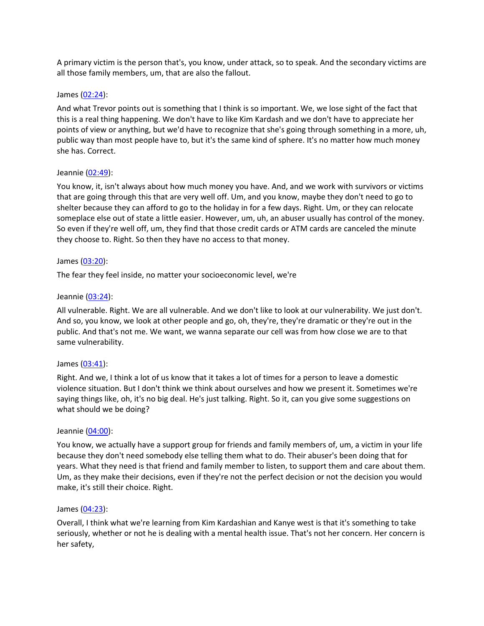A primary victim is the person that's, you know, under attack, so to speak. And the secondary victims are all those family members, um, that are also the fallout.

#### James [\(02:24](https://www.temi.com/editor/t/fs9WHJxm94fSDDQqMDNgjzmnZD9xcKu1BiZekgKpOd8-mHJKo-GRZtAnvvb3ADFQKAnxTkCBiHNPCt811R79nR_NmXA?loadFrom=DocumentDeeplink&ts=144.95)):

And what Trevor points out is something that I think is so important. We, we lose sight of the fact that this is a real thing happening. We don't have to like Kim Kardash and we don't have to appreciate her points of view or anything, but we'd have to recognize that she's going through something in a more, uh, public way than most people have to, but it's the same kind of sphere. It's no matter how much money she has. Correct.

## Jeannie ([02:49\)](https://www.temi.com/editor/t/fs9WHJxm94fSDDQqMDNgjzmnZD9xcKu1BiZekgKpOd8-mHJKo-GRZtAnvvb3ADFQKAnxTkCBiHNPCt811R79nR_NmXA?loadFrom=DocumentDeeplink&ts=169.02):

You know, it, isn't always about how much money you have. And, and we work with survivors or victims that are going through this that are very well off. Um, and you know, maybe they don't need to go to shelter because they can afford to go to the holiday in for a few days. Right. Um, or they can relocate someplace else out of state a little easier. However, um, uh, an abuser usually has control of the money. So even if they're well off, um, they find that those credit cards or ATM cards are canceled the minute they choose to. Right. So then they have no access to that money.

## James [\(03:20](https://www.temi.com/editor/t/fs9WHJxm94fSDDQqMDNgjzmnZD9xcKu1BiZekgKpOd8-mHJKo-GRZtAnvvb3ADFQKAnxTkCBiHNPCt811R79nR_NmXA?loadFrom=DocumentDeeplink&ts=200.85)):

The fear they feel inside, no matter your socioeconomic level, we're

## Jeannie ([03:24\)](https://www.temi.com/editor/t/fs9WHJxm94fSDDQqMDNgjzmnZD9xcKu1BiZekgKpOd8-mHJKo-GRZtAnvvb3ADFQKAnxTkCBiHNPCt811R79nR_NmXA?loadFrom=DocumentDeeplink&ts=204.75):

All vulnerable. Right. We are all vulnerable. And we don't like to look at our vulnerability. We just don't. And so, you know, we look at other people and go, oh, they're, they're dramatic or they're out in the public. And that's not me. We want, we wanna separate our cell was from how close we are to that same vulnerability.

#### James [\(03:41](https://www.temi.com/editor/t/fs9WHJxm94fSDDQqMDNgjzmnZD9xcKu1BiZekgKpOd8-mHJKo-GRZtAnvvb3ADFQKAnxTkCBiHNPCt811R79nR_NmXA?loadFrom=DocumentDeeplink&ts=221.39)):

Right. And we, I think a lot of us know that it takes a lot of times for a person to leave a domestic violence situation. But I don't think we think about ourselves and how we present it. Sometimes we're saying things like, oh, it's no big deal. He's just talking. Right. So it, can you give some suggestions on what should we be doing?

#### Jeannie ([04:00\)](https://www.temi.com/editor/t/fs9WHJxm94fSDDQqMDNgjzmnZD9xcKu1BiZekgKpOd8-mHJKo-GRZtAnvvb3ADFQKAnxTkCBiHNPCt811R79nR_NmXA?loadFrom=DocumentDeeplink&ts=240.91):

You know, we actually have a support group for friends and family members of, um, a victim in your life because they don't need somebody else telling them what to do. Their abuser's been doing that for years. What they need is that friend and family member to listen, to support them and care about them. Um, as they make their decisions, even if they're not the perfect decision or not the decision you would make, it's still their choice. Right.

#### James [\(04:23](https://www.temi.com/editor/t/fs9WHJxm94fSDDQqMDNgjzmnZD9xcKu1BiZekgKpOd8-mHJKo-GRZtAnvvb3ADFQKAnxTkCBiHNPCt811R79nR_NmXA?loadFrom=DocumentDeeplink&ts=263.79)):

Overall, I think what we're learning from Kim Kardashian and Kanye west is that it's something to take seriously, whether or not he is dealing with a mental health issue. That's not her concern. Her concern is her safety,